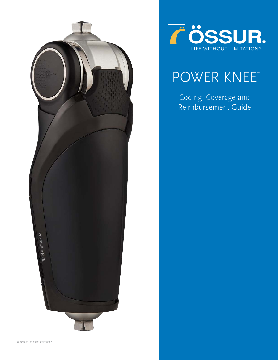



# POWER KNEE™

Coding, Coverage and Reimbursement Guide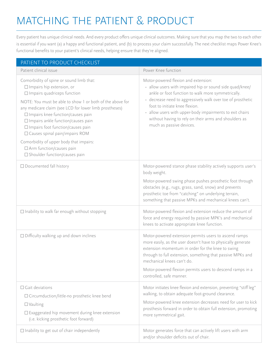## MATCHING THE PATIENT & PRODUCT

Every patient has unique clinical needs. And every product offers unique clinical outcomes. Making sure that you map the two to each other is essential if you want (a) a happy and functional patient, and (b) to process your claim successfully. The next checklist maps Power Knee's functional benefits to your patient's clinical needs, helping ensure that they're aligned.

| PATIENT TO PRODUCT CHECKLIST                                                                                                                                                                                                                                                                                                                                                                                                                                                                                                      |                                                                                                                                                                                                                                                                                                                                                                                                          |
|-----------------------------------------------------------------------------------------------------------------------------------------------------------------------------------------------------------------------------------------------------------------------------------------------------------------------------------------------------------------------------------------------------------------------------------------------------------------------------------------------------------------------------------|----------------------------------------------------------------------------------------------------------------------------------------------------------------------------------------------------------------------------------------------------------------------------------------------------------------------------------------------------------------------------------------------------------|
| Patient clinical issue                                                                                                                                                                                                                                                                                                                                                                                                                                                                                                            | Power Knee function                                                                                                                                                                                                                                                                                                                                                                                      |
| Comorbidity of spine or sound limb that:<br>$\Box$ Impairs hip extension, or<br>$\Box$ Impairs quadriceps function<br>NOTE: You must be able to show 1 or both of the above for<br>any medicare claim (see LCD for lower limb prostheses)<br>□ Impairs knee function/causes pain<br>□ Impairs ankle function/causes pain<br>$\Box$ Impairs foot function/causes pain<br>$\square$ Causes spinal pain/impairs ROM<br>Comorbidity of upper body that impairs:<br>$\Box$ Arm function/causes pain<br>□ Shoulder function/causes pain | Motor-powered flexion and extension:<br>· allow users with impaired hip or sound side quad/knee/<br>ankle or foot function to walk more symmetrically.<br>· decrease need to aggressively walk over toe of prosthetic<br>foot to initiate knee flexion.<br>· allow users with upper-body impairments to exit chairs<br>without having to rely on their arms and shoulders as<br>much as passive devices. |
| $\Box$ Documented fall history                                                                                                                                                                                                                                                                                                                                                                                                                                                                                                    | Motor-powered stance phase stability actively supports user's<br>body weight.<br>Motor-powered swing phase pushes prosthetic foot through<br>obstacles (e.g., rugs, grass, sand, snow) and prevents<br>prosthetic toe from "catching" on underlying terrain,<br>something that passive MPKs and mechanical knees can't.                                                                                  |
| $\Box$ Inability to walk far enough without stopping                                                                                                                                                                                                                                                                                                                                                                                                                                                                              | Motor-powered flexion and extension reduce the amount of<br>force and energy required by passive MPK's and mechanical<br>knees to activate appropriate knee function.                                                                                                                                                                                                                                    |
| $\Box$ Difficulty walking up and down inclines                                                                                                                                                                                                                                                                                                                                                                                                                                                                                    | Motor-powered extension permits users to ascend ramps<br>more easily, as the user doesn't have to physically generate<br>extension momentum in order for the knee to swing<br>through to full extension, something that passive MPKs and<br>mechanical knees can't do.<br>Motor-powered flexion permits users to descend ramps in a<br>controlled, safe manner.                                          |
| $\Box$ Gait deviations<br>□ Circumduction/little-no prosthetic knee bend<br>$\Box$ Vaulting<br>$\square$ Exaggerated hip movement during knee extension<br>(i.e. kicking prosthetic foot forward)                                                                                                                                                                                                                                                                                                                                 | Motor initiates knee flexion and extension, preventing "stiff leg"<br>walking, to obtain adequate foot-ground clearance.<br>Motor-powered knee extension decreases need for user to kick<br>prosthesis forward in order to obtain full extension, promoting<br>more symmetrical gait.                                                                                                                    |
| $\Box$ Inability to get out of chair independently                                                                                                                                                                                                                                                                                                                                                                                                                                                                                | Motor generates force that can actively lift users with arm<br>and/or shoulder deficits out of chair.                                                                                                                                                                                                                                                                                                    |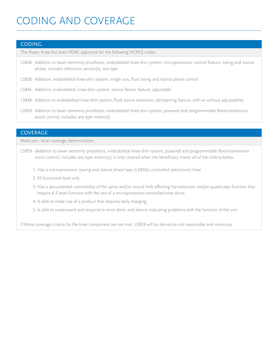### CODING AND COVERAGE

#### CODING

The Power Knee has been PDAC approved for the following HCPCS codes:

- L5856 Addition to lower extremity prosthesis, endoskeletal knee-shin system, microprocessor control feature, swing and stance phase, includes electronic sensor(s), any type
- L5828 Addition, endoskeletal knee-shin system, single axis, fluid swing and stance phase control
- L5845 Addition, endoskeletal, knee-shin system, stance flexion feature, adjustable
- L5848 Addition to endoskeletal knee-shin system, fluid stance extension, dampening feature, with or without adjustability
- L5859 Addition to lower extremity prosthesis, endoskeletal knee-shin system, powered and programmable flexion/extension assist control, includes any type motor(s)

#### **COVERAGE**

Medicare - local coverage determination

- L5859 -(Addition to lower extremity prosthesis, endoskeletal knee-shin system, powered and programmable flexion/extension assist control, includes any type motor(s)) is only covered when the beneficiary meets all of the criteria below:
	- 1. Has a microprocessor (swing and stance phase type (L5856)) controlled (electronic) knee
	- 2. K3 functional level only
	- 3. Has a documented comorbidity of the spine and/or sound limb affecting hip extension and/or quadriceps function that impairs K-3 level function with the use of a microprocessor-controlled knee alone
	- 4. Is able to make use of a product that requires daily charging
	- 5. Is able to understand and respond to error alerts and alarms indicating problems with the function of the unit

If these coverage criteria for the knee component are not met, L5859 will be denied as not reasonable and necessary.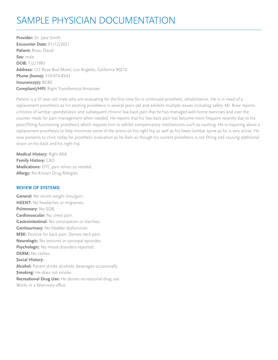### SAMPLE PHYSICIAN DOCUMENTATION

**Provider:** Dr. Jane Smith **Encounter Date:** 01/12/2021 **Patient:** Rose, David **Sex:** male **DOB:** 7/2/1983 **Address:** 123 Rose Bud Motel, Los Angeles, California 90210 **Phone (home):** 310-974-8543 **Insurance(s):** BCBS **Compliant/HPI:** Right Transfemoral Amputee

Patient is a 37 year old male who am evaluating for the first time for is continued prosthetic rehabilitation. He is in need of a replacement prosthesis as his existing prosthesis is several years old and exhibits multiple issues including safety. Mr. Rose reports a history of lumbar spondylolysis and subsequent chronic low back pain that he has managed with home exercises and over the counter meds for pain management when needed. He reports that his low back pain has become more frequent recently due to his poor/fitting functioning prosthesis which requires him to exhibit compensatory mechanisms such as vaulting. He is inquiring about a replacement prosthesis to help minimize some of the stress on his right hip as well as his lower lumbar spine as he is very active. He now presents to clinic today for prosthetic evaluation as he feels as though his current prosthesis is not fitting and causing additional strain on his back and his right hip.

**Medical History:** Right AKA **Family History:** CAD **Medications:** OTC pain reliver as needed. **Allergy:** No Known Drug Allergies

#### **REVIEW OF SYSTEMS:**

**General:** No recent weight loss/gain. **HEENT:** No headaches or migraines. **Pulmonary:** No SOB. **Cardiovascular:** No chest pain. **Gastrointestinal:** No constipation or diarrhea. **Genitourinary:** No bladder dysfunction. **MSK:** Positive for back pain. Denies neck pain. **Neurologic:** No seizures or syncopal episodes. **Psychologic:** No mood disorders reported. **DERM:** No rashes. **Social History: Alcohol:** Patient drinks alcoholic beverages occasionally. **Smoking:** He does not smoke. **Recreational Drug Use:** He denies recreational drug use. Works in a Veterinary office.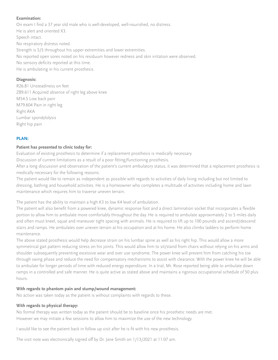#### **Examination:**

On exam I find a 37 year old male who is well-developed, well-nourished, no distress. He is alert and oriented X3. Speech intact. No respiratory distress noted. Strength is 5/5 throughout his upper extremities and lower extremities. No reported open sores noted on his residuum however redness and skin irritation were observed. No sensory deficits reported at this time. He is ambulating in his current prosthesis.

#### **Diagnosis:**

R26.81 Unsteadiness on feet Z89.611 Acquired absence of right leg above knee M54.5 Low back pain M79.604 Pain in right leg Right AKA Lumbar spondylolysis Right hip pain

#### **PLAN:**

#### **Patient has presented to clinic today for:**

Evaluation of existing prosthesis to determine if a replacement prosthesis is medically necessary.

Discussion of current limitations as a result of a poor fitting/functioning prosthesis.

After a long discussion and observation of the patient's current ambulatory status, it was determined that a replacement prosthesis is medically necessary for the following reasons:

The patient would like to remain as independent as possible with regards to activities of daily living including but not limited to dressing, bathing and household activities. He is a homeowner who completes a multitude of activities including home and lawn maintenance which requires him to traverse uneven terrain.

The patient has the ability to maintain a high K3 to low K4 level of ambulation.

The patient will also benefit from a powered knee, dynamic response foot and a direct lamination socket that incorporates a flexible portion to allow him to ambulate more comfortably throughout the day. He is required to ambulate approximately 2 to 5 miles daily and often must kneel, squat and maneuver tight spacing with animals. He is required to lift up to 100 pounds and ascend/descend stairs and ramps. He ambulates over uneven terrain at his occupation and at his home. He also climbs ladders to perform home maintenance.

The above stated prosthesis would help decrease strain on his lumbar spine as well as his right hip. This would allow a more symmetrical gait pattern reducing stress on his joints. This would allow him to sit/stand from chairs without relying on his arms and shoulder subsequently preventing excessive wear and over use syndrome. The power knee will prevent him from catching his toe through swing phase and reduce the need for compensatory mechanisms to assist with clearance. With the power knee he will be able to ambulate for longer periods of time with reduced energy expenditure. In a trial, Mr. Rose reported being able to ambulate down ramps in a controlled and safe manner. He is quite active as stated above and maintains a rigorous occupational schedule of 50 plus hours.

#### **With regards to phantom pain and stump/wound management:**

No action was taken today as the patient is without complaints with regards to these.

#### **With regards to physical therapy:**

No formal therapy was written today as the patient should be to baseline once his prosthetic needs are met. However we may initiate a few sessions to allow him to maximize the use of the new technology.

I would like to see the patient back in follow up visit after he is fit with his new prosthesis.

The visit note was electronically signed off by Dr. Jane Smith on 1/13/2021 at 11:07 am.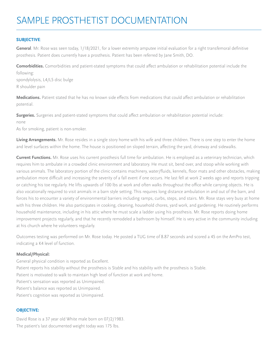#### **SUBJECTIVE**:

**General**. Mr. Rose was seen today, 1/18/2021, for a lower extremity amputee initial evaluation for a right transfemoral definitive prosthesis. Patient does currently have a prosthesis. Patient has been referred by Jane Smith, DO.

**Comorbidities.** Comorbidities and patient-stated symptoms that could affect ambulation or rehabilitation potential include the following:

spondylolysis, L4/L5 disc bulge R shoulder pain

**Medications.** Patient stated that he has no known side effects from medications that could affect ambulation or rehabilitation potential.

**Surgeries.** Surgeries and patient-stated symptoms that could affect ambulation or rehabilitation potential include: none

As for smoking, patient is non-smoker.

Living Arrangements. Mr. Rose resides in a single story home with his wife and three children. There is one step to enter the home and level surfaces within the home. The house is positioned on sloped terrain, affecting the yard, driveway and sidewalks.

**Current Functions.** Mr. Rose uses his current prosthesis full time for ambulation. He is employed as a veterinary technician, which requires him to ambulate in a crowded clinic environment and laboratory. He must sit, bend over, and stoop while working with various animals. The laboratory portion of the clinic contains machinery, water/fluids, kennels, floor mats and other obstacles, making ambulation more difficult and increasing the severity of a fall event if one occurs. He last fell at work 2 weeks ago and reports tripping or catching his toe regularly. He lifts upwards of 100 lbs at work and often walks throughout the office while carrying objects. He is also vocationally required to visit animals in a barn style setting. This requires long distance ambulation in and out of the barn, and forces his to encounter a variety of environmental barriers including ramps, curbs, steps, and stairs. Mr. Rose stays very busy at home with his three children. He also participates in cooking, cleaning, household chores, yard work, and gardening. He routinely performs household maintenance, including in his attic where he must scale a ladder using his prosthesis. Mr. Rose reports doing home improvement projects regularly, and that he recently remodeled a bathroom by himself. He is very active in the community including at his church where he volunteers regularly.

Outcomes testing was performed on Mr. Rose today. He posted a TUG time of 8.87 seconds and scored a 45 on the AmPro test, indicating a K4 level of function.

#### **Medical/Physical:**

General physical condition is reported as Excellent. Patient reports his stability without the prosthesis is Stable and his stability with the prosthesis is Stable. Patient is motivated to walk to maintain high level of function at work and home. Patient's sensation was reported as Unimpaired. Patient's balance was reported as Unimpaired. Patient's cognition was reported as Unimpaired.

#### **OBJECTIVE:**

David Rose is a 37 year old White male born on 07/2/1983. The patient's last documented weight today was 175 lbs.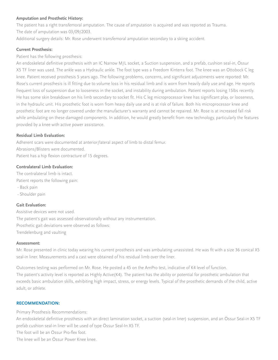#### **Amputation and Prosthetic History:**

The patient has a right transfemoral amputation. The cause of amputation is acquired and was reported as Trauma. The date of amputation was 03/09/2003.

Additional surgery details: Mr. Rose underwent transfemoral amputation secondary to a skiing accident.

#### **Current Prosthesis:**

Patient has the following prosthesis:

An endoskeletal definitive prosthesis with an IC Narrow M/L socket, a Suction suspension, and a prefab, cushion seal-in, Össur X5 TF liner was used. The ankle was a Hydraulic ankle. The foot type was a Freedom Kinterra foot. The knee was an Ottobock C leg knee. Patient received prosthesis 5 years ago. The following problems, concerns, and significant adjustments were reported: Mr. Rose's current prosthesis is ill fitting due to volume loss in his residual limb and is worn from heavily daily use and age. He reports frequent loss of suspension due to looseness in the socket, and instability during ambulation. Patient reports losing 15lbs recently. He has some skin breakdown on his limb secondary to socket fit. His C leg microprocessor knee has significant play, or looseness, in the hydraulic unit. His prosthetic foot is worn from heavy daily use and is at risk of failure. Both his microprocessor knee and prosthetic foot are no longer covered under the manufacturer's warranty and cannot be repaired. Mr. Rose is at increased fall risk while ambulating on these damaged components. In addition, he would greatly benefit from new technology, particularly the features provided by a knee with active power assistance.

#### **Residual Limb Evaluation:**

Adherent scars were documented at anterior/lateral aspect of limb to distal femur. Abrasions/Blisters were documented. Patient has a hip flexion contracture of 15 degrees.

#### **Contralateral Limb Evaluation:**

The contralateral limb is intact. Patient reports the following pain:

- Back pain
- Shoulder pain

#### **Gait Evaluation:**

Assistive devices were not used. The patient's gait was assessed observationally without any instrumentation. Prosthetic gait deviations were observed as follows: Trendelenburg and vaulting

#### **Assessment:**

Mr. Rose presented in clinic today wearing his current prosthesis and was ambulating unassisted. He was fit with a size 36 conical X5 seal-in liner. Measurements and a cast were obtained of his residual limb over the liner.

Outcomes testing was performed on Mr. Rose. He posted a 45 on the AmPro test, indicative of K4 level of function. The patient's activity level is reported as Highly Active(K4). The patient has the ability or potential for prosthetic ambulation that exceeds basic ambulation skills, exhibiting high impact, stress, or energy levels. Typical of the prosthetic demands of the child, active adult, or athlete.

#### **RECOMMENDATION:**

Primary Prosthesis Recommendations:

An endoskeletal definitive prosthesis with an direct lamination socket, a suction (seal-in liner) suspension, and an Össur Seal-in X5 TF prefab cushion seal-in liner will be used of type Össur Seal-In X5 TF.

The foot will be an Össur Pro-flex foot.

The knee will be an Össur Power Knee knee.